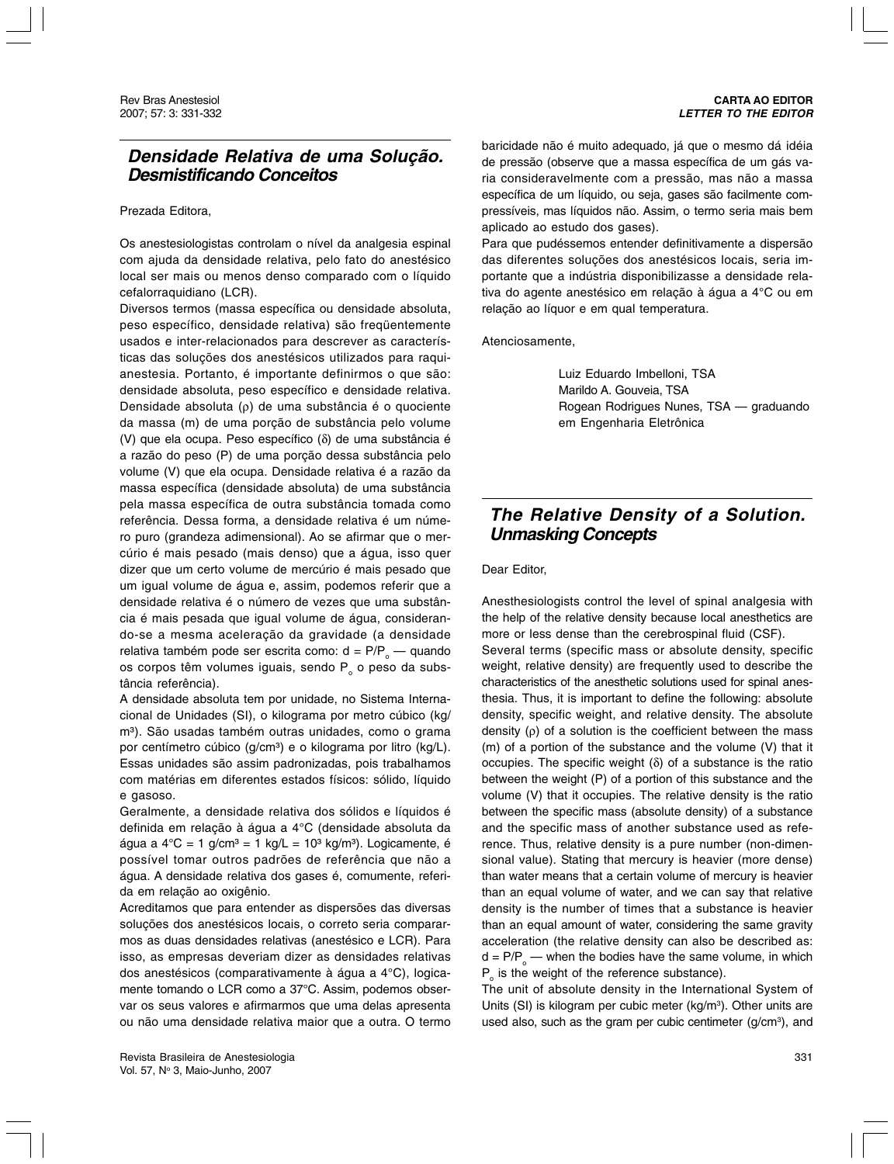## **Densidade Relativa de uma Solução. Desmistificando Conceitos**

## Prezada Editora,

Os anestesiologistas controlam o nível da analgesia espinal com ajuda da densidade relativa, pelo fato do anestésico local ser mais ou menos denso comparado com o líquido cefalorraquidiano (LCR).

Diversos termos (massa específica ou densidade absoluta, peso específico, densidade relativa) são freqüentemente usados e inter-relacionados para descrever as características das soluções dos anestésicos utilizados para raquianestesia. Portanto, é importante definirmos o que são: densidade absoluta, peso específico e densidade relativa. Densidade absoluta (ρ) de uma substância é o quociente da massa (m) de uma porção de substância pelo volume (V) que ela ocupa. Peso específico (δ) de uma substância é a razão do peso (P) de uma porção dessa substância pelo volume (V) que ela ocupa. Densidade relativa é a razão da massa específica (densidade absoluta) de uma substância pela massa específica de outra substância tomada como referência. Dessa forma, a densidade relativa é um número puro (grandeza adimensional). Ao se afirmar que o mercúrio é mais pesado (mais denso) que a água, isso quer dizer que um certo volume de mercúrio é mais pesado que um igual volume de água e, assim, podemos referir que a densidade relativa é o número de vezes que uma substância é mais pesada que igual volume de água, considerando-se a mesma aceleração da gravidade (a densidade relativa também pode ser escrita como: d = P/P<sub>o</sub> — quando os corpos têm volumes iguais, sendo  $P_0$  o peso da substância referência).

A densidade absoluta tem por unidade, no Sistema Internacional de Unidades (SI), o kilograma por metro cúbico (kg/ m<sup>3</sup>). São usadas também outras unidades, como o grama por centímetro cúbico (g/cm<sup>3</sup>) e o kilograma por litro (kg/L). Essas unidades são assim padronizadas, pois trabalhamos com matérias em diferentes estados físicos: sólido, líquido e gasoso.

Geralmente, a densidade relativa dos sólidos e líquidos é definida em relação à água a 4°C (densidade absoluta da água a  $4^{\circ}$ C = 1 g/cm<sup>3</sup> = 1 kg/L = 10<sup>3</sup> kg/m<sup>3</sup>). Logicamente, é possível tomar outros padrões de referência que não a água. A densidade relativa dos gases é, comumente, referida em relação ao oxigênio.

Acreditamos que para entender as dispersões das diversas soluções dos anestésicos locais, o correto seria compararmos as duas densidades relativas (anestésico e LCR). Para isso, as empresas deveriam dizer as densidades relativas dos anestésicos (comparativamente à água a 4°C), logicamente tomando o LCR como a 37°C. Assim, podemos observar os seus valores e afirmarmos que uma delas apresenta ou não uma densidade relativa maior que a outra. O termo baricidade não é muito adequado, já que o mesmo dá idéia de pressão (observe que a massa específica de um gás varia consideravelmente com a pressão, mas não a massa específica de um líquido, ou seja, gases são facilmente compressíveis, mas líquidos não. Assim, o termo seria mais bem aplicado ao estudo dos gases).

Para que pudéssemos entender definitivamente a dispersão das diferentes soluções dos anestésicos locais, seria importante que a indústria disponibilizasse a densidade relativa do agente anestésico em relação à água a 4°C ou em relação ao líquor e em qual temperatura.

Atenciosamente,

Luiz Eduardo Imbelloni, TSA Marildo A. Gouveia, TSA Rogean Rodrigues Nunes, TSA — graduando em Engenharia Eletrônica

## **The Relative Density of a Solution. Unmasking Concepts**

Dear Editor,

Anesthesiologists control the level of spinal analgesia with the help of the relative density because local anesthetics are more or less dense than the cerebrospinal fluid (CSF).

Several terms (specific mass or absolute density, specific weight, relative density) are frequently used to describe the characteristics of the anesthetic solutions used for spinal anesthesia. Thus, it is important to define the following: absolute density, specific weight, and relative density. The absolute density  $(ρ)$  of a solution is the coefficient between the mass (m) of a portion of the substance and the volume (V) that it occupies. The specific weight  $(\delta)$  of a substance is the ratio between the weight (P) of a portion of this substance and the volume (V) that it occupies. The relative density is the ratio between the specific mass (absolute density) of a substance and the specific mass of another substance used as reference. Thus, relative density is a pure number (non-dimensional value). Stating that mercury is heavier (more dense) than water means that a certain volume of mercury is heavier than an equal volume of water, and we can say that relative density is the number of times that a substance is heavier than an equal amount of water, considering the same gravity acceleration (the relative density can also be described as:  $d = P/P_{\circ}$  — when the bodies have the same volume, in which  $P_{\circ}$  is the weight of the reference substance).

The unit of absolute density in the International System of Units (SI) is kilogram per cubic meter ( $kg/m<sup>3</sup>$ ). Other units are used also, such as the gram per cubic centimeter  $(g/cm<sup>3</sup>)$ , and